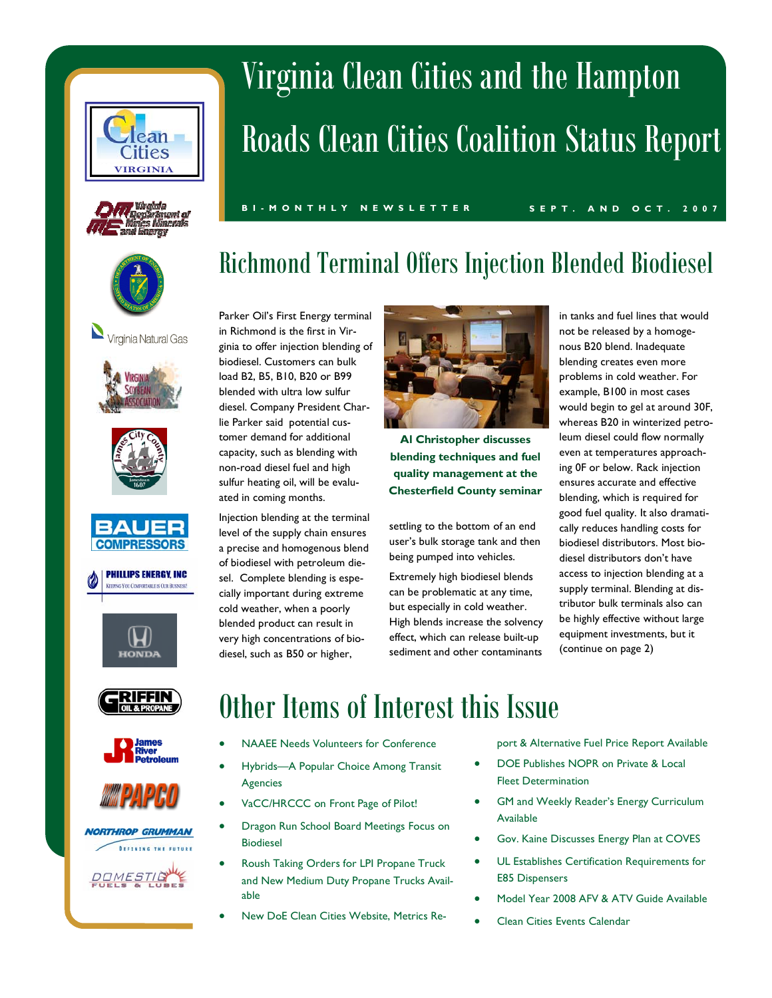





Virginia Natural Gas



















# Virginia Clean Cities and the Hampton Roads Clean Cities Coalition Status Report

**BI-MONTHLY NEWSLETTER SEPT. AND OCT. 2007** 

# Richmond Terminal Offers Injection Blended Biodiesel

Parker Oil's First Energy terminal in Richmond is the first in Virginia to offer injection blending of biodiesel. Customers can bulk load B2, B5, B10, B20 or B99 blended with ultra low sulfur diesel. Company President Charlie Parker said potential customer demand for additional capacity, such as blending with non-road diesel fuel and high sulfur heating oil, will be evaluated in coming months.

Injection blending at the terminal level of the supply chain ensures a precise and homogenous blend of biodiesel with petroleum diesel. Complete blending is especially important during extreme cold weather, when a poorly blended product can result in very high concentrations of biodiesel, such as B50 or higher,



**Al Christopher discusses blending techniques and fuel quality management at the Chesterfield County seminar**

settling to the bottom of an end user's bulk storage tank and then being pumped into vehicles.

Extremely high biodiesel blends can be problematic at any time, but especially in cold weather. High blends increase the solvency effect, which can release built-up sediment and other contaminants

in tanks and fuel lines that would not be released by a homogenous B20 blend. Inadequate blending creates even more problems in cold weather. For example, B100 in most cases would begin to gel at around 30F, whereas B20 in winterized petroleum diesel could flow normally even at temperatures approaching 0F or below. Rack injection ensures accurate and effective blending, which is required for good fuel quality. It also dramatically reduces handling costs for biodiesel distributors. Most biodiesel distributors don't have access to injection blending at a supply terminal. Blending at distributor bulk terminals also can be highly effective without large equipment investments, but it (continue on page 2)

# Other Items of Interest this Issue

- NAAEE Needs Volunteers for Conference
- Hybrids-A Popular Choice Among Transit Agencies
- VaCC/HRCCC on Front Page of Pilot!
- Dragon Run School Board Meetings Focus on Biodiesel
- Roush Taking Orders for LPI Propane Truck and New Medium Duty Propane Trucks Available
- New DoE Clean Cities Website, Metrics Re-

port & Alternative Fuel Price Report Available

- DOE Publishes NOPR on Private & Local Fleet Determination
- GM and Weekly Reader's Energy Curriculum Available
- Gov. Kaine Discusses Energy Plan at COVES
- UL Establishes Certification Requirements for E85 Dispensers
- Model Year 2008 AFV & ATV Guide Available
- Clean Cities Events Calendar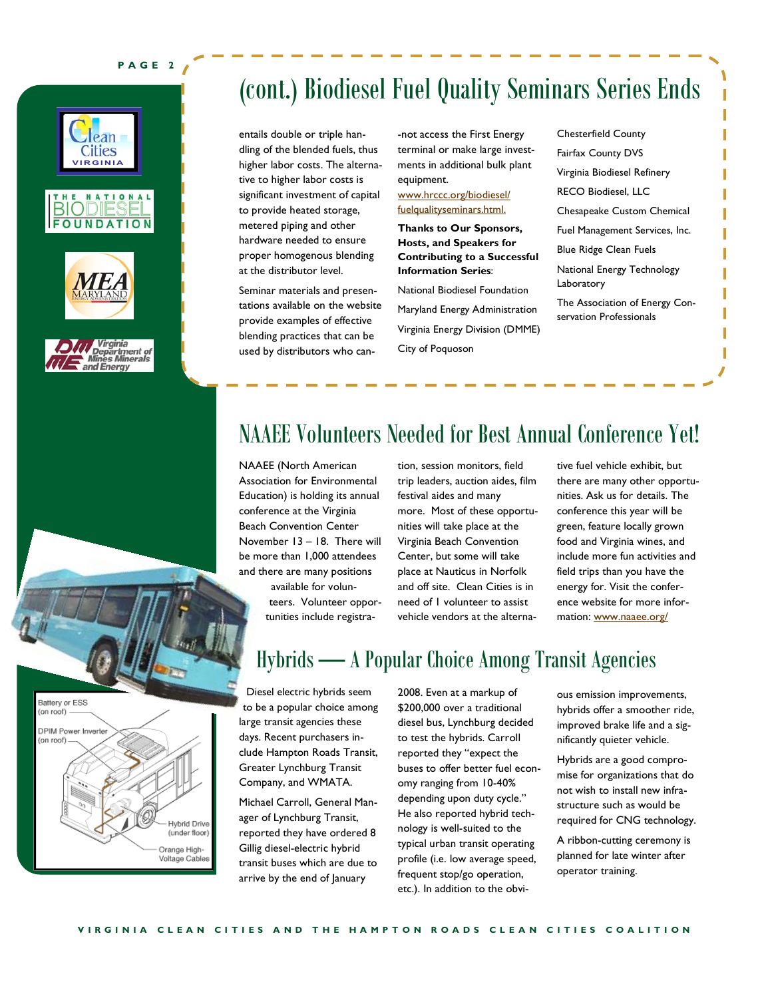#### **PAGE 2**









Battery or ESS (on roof)

DPIM Power Inverte (on roof)

## (cont.) Biodiesel Fuel Quality Seminars Series Ends

entails double or triple handling of the blended fuels, thus higher labor costs. The alternative to higher labor costs is significant investment of capital to provide heated storage, metered piping and other hardware needed to ensure proper homogenous blending at the distributor level.

Seminar materials and presentations available on the website provide examples of effective blending practices that can be used by distributors who can-not access the First Energy terminal or make large investments in additional bulk plant equipment.

#### www.hrccc.org/biodiesel/ fuelqualityseminars.html.

**Thanks to Our Sponsors, Hosts, and Speakers for Contributing to a Successful Information Series**:

National Biodiesel Foundation Maryland Energy Administration Virginia Energy Division (DMME) City of Poquoson

Chesterfield County Fairfax County DVS Virginia Biodiesel Refinery RECO Biodiesel, LLC Chesapeake Custom Chemical Fuel Management Services, Inc. Blue Ridge Clean Fuels National Energy Technology Laboratory The Association of Energy Conservation Professionals

## NAAEE Volunteers Needed for Best Annual Conference Yet!

NAAEE (North American Association for Environmental Education) is holding its annual conference at the Virginia Beach Convention Center November  $13 - 18$ . There will be more than 1,000 attendees and there are many positions

> available for volunteers. Volunteer opportunities include registra-

tion, session monitors, field trip leaders, auction aides, film festival aides and many more. Most of these opportunities will take place at the Virginia Beach Convention Center, but some will take place at Nauticus in Norfolk and off site. Clean Cities is in need of 1 volunteer to assist vehicle vendors at the alternative fuel vehicle exhibit, but there are many other opportunities. Ask us for details. The conference this year will be green, feature locally grown food and Virginia wines, and include more fun activities and field trips than you have the energy for. Visit the conference website for more information: www.naaee.org/



Diesel electric hybrids seem to be a popular choice among large transit agencies these days. Recent purchasers include Hampton Roads Transit, Greater Lynchburg Transit Company, and WMATA.

Michael Carroll, General Manager of Lynchburg Transit, reported they have ordered 8 Gillig diesel-electric hybrid transit buses which are due to arrive by the end of January

**Hybrid Drive** (under floor) Orange High-Voltage Cables

2008. Even at a markup of \$200,000 over a traditional diesel bus, Lynchburg decided to test the hybrids. Carroll reported they "expect the buses to offer better fuel economy ranging from 10-40% depending upon duty cycle." He also reported hybrid technology is well-suited to the typical urban transit operating profile (i.e. low average speed, frequent stop/go operation, etc.). In addition to the obvi-

ous emission improvements, hybrids offer a smoother ride, improved brake life and a significantly quieter vehicle.

Hybrids are a good compromise for organizations that do not wish to install new infrastructure such as would be required for CNG technology.

A ribbon-cutting ceremony is planned for late winter after operator training.

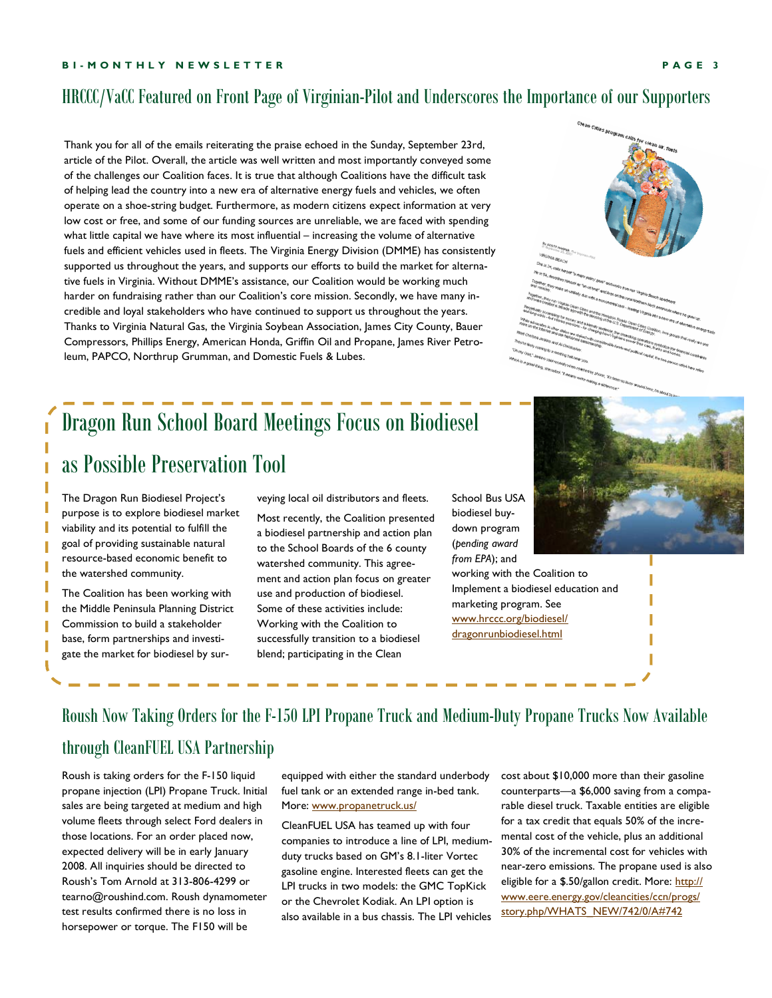### HRCCC/VaCC Featured on Front Page of Virginian-Pilot and Underscores the Importance of our Supporters

Thank you for all of the emails reiterating the praise echoed in the Sunday, September 23rd, article of the Pilot. Overall, the article was well written and most importantly conveyed some of the challenges our Coalition faces. It is true that although Coalitions have the difficult task of helping lead the country into a new era of alternative energy fuels and vehicles, we often operate on a shoe-string budget. Furthermore, as modern citizens expect information at very low cost or free, and some of our funding sources are unreliable, we are faced with spending what little capital we have where its most influential – increasing the volume of alternative fuels and efficient vehicles used in fleets. The Virginia Energy Division (DMME) has consistently supported us throughout the years, and supports our efforts to build the market for alternative fuels in Virginia. Without DMMEís assistance, our Coalition would be working much harder on fundraising rather than our Coalition's core mission. Secondly, we have many incredible and loyal stakeholders who have continued to support us throughout the years. Thanks to Virginia Natural Gas, the Virginia Soybean Association, James City County, Bauer Compressors, Phillips Energy, American Honda, Griffin Oil and Propane, James River Petroleum, PAPCO, Northrup Grumman, and Domestic Fuels & Lubes.

# Dragon Run School Board Meetings Focus on Biodiesel as Possible Preservation Tool

The Dragon Run Biodiesel Project's purpose is to explore biodiesel market viability and its potential to fulfill the goal of providing sustainable natural resource-based economic benefit to the watershed community.

The Coalition has been working with the Middle Peninsula Planning District Commission to build a stakeholder base, form partnerships and investigate the market for biodiesel by surveying local oil distributors and fleets.

Most recently, the Coalition presented a biodiesel partnership and action plan to the School Boards of the 6 county watershed community. This agreement and action plan focus on greater use and production of biodiesel. Some of these activities include: Working with the Coalition to successfully transition to a biodiesel blend; participating in the Clean

School Bus USA biodiesel buydown program (*pending award from EPA*); and

working with the Coalition to Implement a biodiesel education and marketing program. See www.hrccc.org/biodiesel/ dragonrunbiodiesel.html

# Roush Now Taking Orders for the F-150 LPI Propane Truck and Medium-Duty Propane Trucks Now Available

### through CleanFUEL USA Partnership

Roush is taking orders for the F-150 liquid propane injection (LPI) Propane Truck. Initial sales are being targeted at medium and high volume fleets through select Ford dealers in those locations. For an order placed now, expected delivery will be in early January 2008. All inquiries should be directed to Roush's Tom Arnold at 313-806-4299 or tearno@roushind.com. Roush dynamometer test results confirmed there is no loss in horsepower or torque. The F150 will be

equipped with either the standard underbody fuel tank or an extended range in-bed tank. More: www.propanetruck.us/

CleanFUEL USA has teamed up with four companies to introduce a line of LPI, mediumduty trucks based on GM's 8.1-liter Vortec gasoline engine. Interested fleets can get the LPI trucks in two models: the GMC TopKick or the Chevrolet Kodiak. An LPI option is also available in a bus chassis. The LPI vehicles cost about \$10,000 more than their gasoline counterparts-a \$6,000 saving from a comparable diesel truck. Taxable entities are eligible for a tax credit that equals 50% of the incremental cost of the vehicle, plus an additional 30% of the incremental cost for vehicles with near-zero emissions. The propane used is also eligible for a \$.50/gallon credit. More: http:// www.eere.energy.gov/cleancities/ccn/progs/ story.php/WHATS\_NEW/742/0/A#742





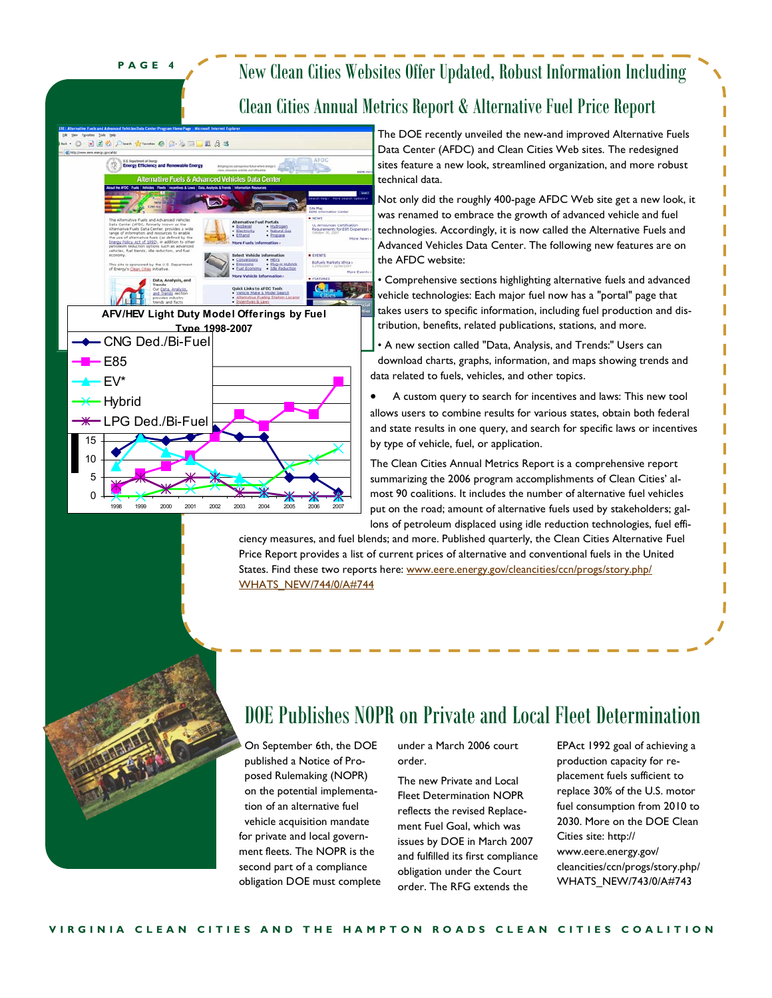**PAGE 4** 

## New Clean Cities Websites Offer Updated, Robust Information Including Clean Cities Annual Metrics Report & Alternative Fuel Price Report



The DOE recently unveiled the new-and improved Alternative Fuels Data Center (AFDC) and Clean Cities Web sites. The redesigned sites feature a new look, streamlined organization, and more robust technical data.

Not only did the roughly 400-page AFDC Web site get a new look, it was renamed to embrace the growth of advanced vehicle and fuel technologies. Accordingly, it is now called the Alternative Fuels and Advanced Vehicles Data Center. The following new features are on the AFDC website:

**Comprehensive sections highlighting alternative fuels and advanced** vehicle technologies: Each major fuel now has a "portal" page that takes users to specific information, including fuel production and distribution, benefits, related publications, stations, and more.

• A new section called "Data, Analysis, and Trends:" Users can download charts, graphs, information, and maps showing trends and data related to fuels, vehicles, and other topics.

• A custom query to search for incentives and laws: This new tool allows users to combine results for various states, obtain both federal and state results in one query, and search for specific laws or incentives by type of vehicle, fuel, or application.

The Clean Cities Annual Metrics Report is a comprehensive report summarizing the 2006 program accomplishments of Clean Cities' almost 90 coalitions. It includes the number of alternative fuel vehicles put on the road; amount of alternative fuels used by stakeholders; gallons of petroleum displaced using idle reduction technologies, fuel effi-

ciency measures, and fuel blends; and more. Published quarterly, the Clean Cities Alternative Fuel Price Report provides a list of current prices of alternative and conventional fuels in the United States. Find these two reports here: www.eere.energy.gov/cleancities/ccn/progs/story.php/ WHATS\_NEW/744/0/A#744

## DOE Publishes NOPR on Private and Local Fleet Determination

On September 6th, the DOE published a Notice of Proposed Rulemaking (NOPR) on the potential implementation of an alternative fuel vehicle acquisition mandate for private and local government fleets. The NOPR is the second part of a compliance obligation DOE must complete under a March 2006 court order.

The new Private and Local Fleet Determination NOPR reflects the revised Replacement Fuel Goal, which was issues by DOE in March 2007 and fulfilled its first compliance obligation under the Court order. The RFG extends the

EPAct 1992 goal of achieving a production capacity for replacement fuels sufficient to replace 30% of the U.S. motor fuel consumption from 2010 to 2030. More on the DOE Clean Cities site: http:// www.eere.energy.gov/ cleancities/ccn/progs/story.php/ WHATS\_NEW/743/0/A#743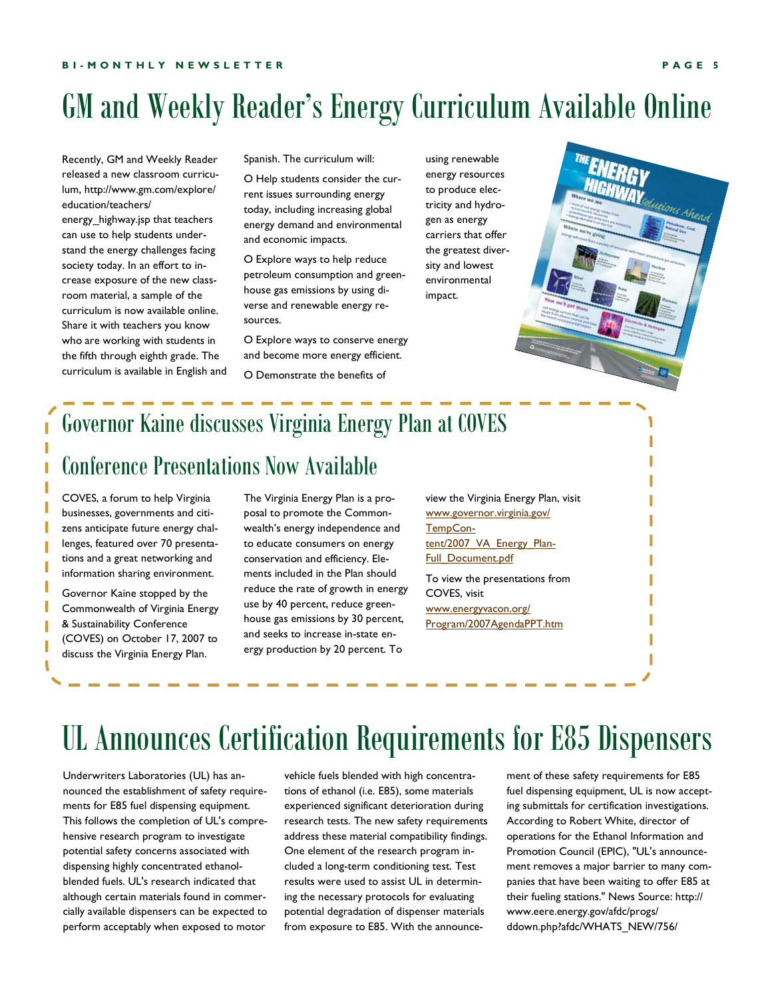# GM and Weekly Reader's Energy Curriculum Available Online

Recently, GM and Weekly Reader released a new classroom curriculum, http://www.gm.com/explore/ education/teachers/

energy\_highway.jsp that teachers can use to help students understand the energy challenges facing society today. In an effort to increase exposure of the new classroom material, a sample of the curriculum is now available online. Share it with teachers you know who are working with students in the fifth through eighth grade. The curriculum is available in English and Spanish. The curriculum will:

O Help students consider the current issues surrounding energy today, including increasing global energy demand and environmental and economic impacts.

O Explore ways to help reduce petroleum consumption and greenhouse gas emissions by using diverse and renewable energy resources.

O Explore ways to conserve energy and become more energy efficient.

O Demonstrate the benefits of

using renewable energy resources to produce electricity and hydrogen as energy carriers that offer the greatest diversity and lowest environmental impact.



## Governor Kaine discusses Virginia Energy Plan at COVES

## Conference Presentations Now Available

COVES, a forum to help Virginia businesses, governments and citizens anticipate future energy challenges, featured over 70 presentations and a great networking and information sharing environment.

ı ı

> Governor Kaine stopped by the Commonwealth of Virginia Energy & Sustainability Conference (COVES) on October 17, 2007 to discuss the Virginia Energy Plan.

The Virginia Energy Plan is a proposal to promote the Commonwealth's energy independence and to educate consumers on energy conservation and efficiency. Elements included in the Plan should reduce the rate of growth in energy use by 40 percent, reduce greenhouse gas emissions by 30 percent, and seeks to increase in-state energy production by 20 percent. To

view the Virginia Energy Plan, visit www.governor.virginia.gov/ TempContent/2007\_VA\_Energy\_Plan-Full\_Document.pdf To view the presentations from

COVES, visit www.energyvacon.org/ Program/2007AgendaPPT.htm

# UL Announces Certification Requirements for E85 Dispensers

Underwriters Laboratories (UL) has announced the establishment of safety requirements for E85 fuel dispensing equipment. This follows the completion of UL's comprehensive research program to investigate potential safety concerns associated with dispensing highly concentrated ethanolblended fuels. UL's research indicated that although certain materials found in commercially available dispensers can be expected to perform acceptably when exposed to motor

vehicle fuels blended with high concentrations of ethanol (i.e. E85), some materials experienced significant deterioration during research tests. The new safety requirements address these material compatibility findings. One element of the research program included a long-term conditioning test. Test results were used to assist UL in determining the necessary protocols for evaluating potential degradation of dispenser materials from exposure to E85. With the announcement of these safety requirements for E85 fuel dispensing equipment, UL is now accepting submittals for certification investigations. According to Robert White, director of operations for the Ethanol Information and Promotion Council (EPIC), "UL's announcement removes a major barrier to many companies that have been waiting to offer E85 at their fueling stations." News Source: http:// www.eere.energy.gov/afdc/progs/ ddown.php?afdc/WHATS\_NEW/756/